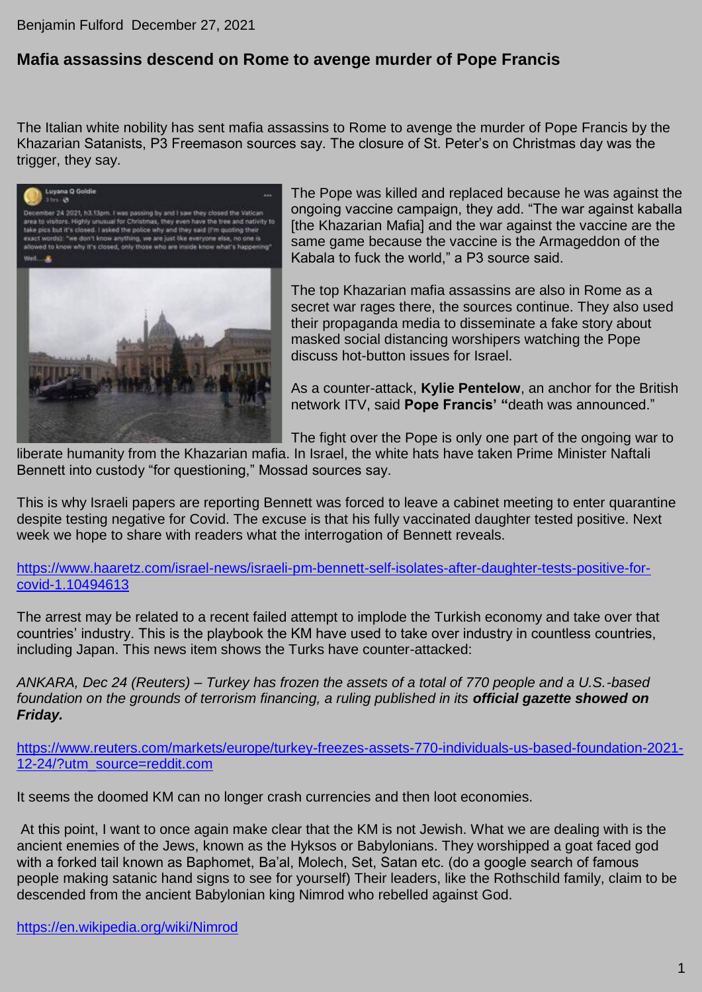## Benjamin Fulford December 27, 2021

## **Mafia assassins descend on Rome to avenge murder of Pope Francis**

The Italian white nobility has sent mafia assassins to Rome to avenge the murder of Pope Francis by the Khazarian Satanists, P3 Freemason sources say. The closure of St. Peter's on Christmas day was the trigger, they say.



The Pope was killed and replaced because he was against the ongoing vaccine campaign, they add. "The war against kaballa [the Khazarian Mafia] and the war against the vaccine are the same game because the vaccine is the Armageddon of the Kabala to fuck the world," a P3 source said.

The top Khazarian mafia assassins are also in Rome as a secret war rages there, the sources continue. They also used their propaganda media to disseminate a fake story about masked social distancing worshipers watching the Pope discuss hot-button issues for Israel.

As a counter-attack, **Kylie Pentelow**, an anchor for the British network ITV, said **Pope Francis' "**death was announced."

The fight over the Pope is only one part of the ongoing war to

liberate humanity from the Khazarian mafia. In Israel, the white hats have taken Prime Minister Naftali Bennett into custody "for questioning," Mossad sources say.

This is why Israeli papers are reporting Bennett was forced to leave a cabinet meeting to enter quarantine despite testing negative for Covid. The excuse is that his fully vaccinated daughter tested positive. Next week we hope to share with readers what the interrogation of Bennett reveals.

[https://www.haaretz.com/israel-news/israeli-pm-bennett-self-isolates-after-daughter-tests-positive-for](https://www.haaretz.com/israel-news/israeli-pm-bennett-self-isolates-after-daughter-tests-positive-for-covid-1.10494613)[covid-1.10494613](https://www.haaretz.com/israel-news/israeli-pm-bennett-self-isolates-after-daughter-tests-positive-for-covid-1.10494613)

The arrest may be related to a recent failed attempt to implode the Turkish economy and take over that countries' industry. This is the playbook the KM have used to take over industry in countless countries, including Japan. This news item shows the Turks have counter-attacked:

*ANKARA, Dec 24 (Reuters) – Turkey has frozen the assets of a total of 770 people and a U.S.-based foundation on the grounds of terrorism financing, a ruling published in its official gazette showed on Friday.*

[https://www.reuters.com/markets/europe/turkey-freezes-assets-770-individuals-us-based-foundation-2021-](https://www.reuters.com/markets/europe/turkey-freezes-assets-770-individuals-us-based-foundation-2021-12-24/?utm_source=reddit.com) [12-24/?utm\\_source=reddit.com](https://www.reuters.com/markets/europe/turkey-freezes-assets-770-individuals-us-based-foundation-2021-12-24/?utm_source=reddit.com)

It seems the doomed KM can no longer crash currencies and then loot economies.

At this point, I want to once again make clear that the KM is not Jewish. What we are dealing with is the ancient enemies of the Jews, known as the Hyksos or Babylonians. They worshipped a goat faced god with a forked tail known as Baphomet, Ba'al, Molech, Set, Satan etc. (do a google search of famous people making satanic hand signs to see for yourself) Their leaders, like the Rothschild family, claim to be descended from the ancient Babylonian king Nimrod who rebelled against God.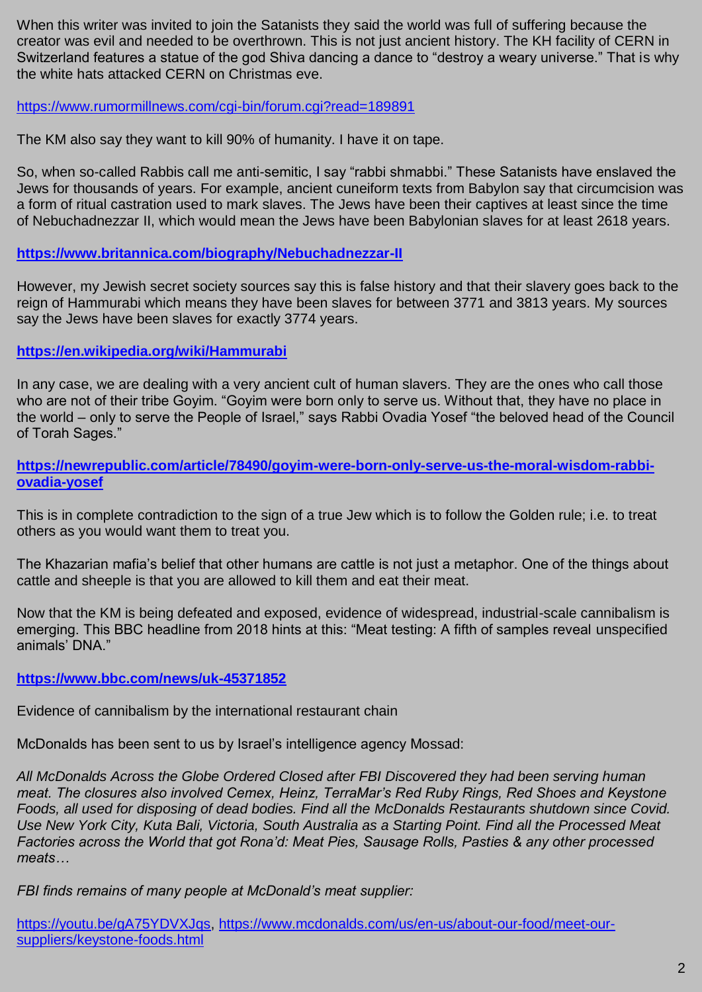When this writer was invited to join the Satanists they said the world was full of suffering because the creator was evil and needed to be overthrown. This is not just ancient history. The KH facility of CERN in Switzerland features a statue of the god Shiva dancing a dance to "destroy a weary universe." That is why the white hats attacked CERN on Christmas eve.

<https://www.rumormillnews.com/cgi-bin/forum.cgi?read=189891>

The KM also say they want to kill 90% of humanity. I have it on tape.

So, when so-called Rabbis call me anti-semitic, I say "rabbi shmabbi." These Satanists have enslaved the Jews for thousands of years. For example, ancient cuneiform texts from Babylon say that circumcision was a form of ritual castration used to mark slaves. The Jews have been their captives at least since the time of Nebuchadnezzar II, which would mean the Jews have been Babylonian slaves for at least 2618 years.

**<https://www.britannica.com/biography/Nebuchadnezzar-II>**

However, my Jewish secret society sources say this is false history and that their slavery goes back to the reign of Hammurabi which means they have been slaves for between 3771 and 3813 years. My sources say the Jews have been slaves for exactly 3774 years.

**<https://en.wikipedia.org/wiki/Hammurabi>**

In any case, we are dealing with a very ancient cult of human slavers. They are the ones who call those who are not of their tribe Goyim. "Goyim were born only to serve us. Without that, they have no place in the world – only to serve the People of Israel," says Rabbi Ovadia Yosef "the beloved head of the Council of Torah Sages."

**[https://newrepublic.com/article/78490/goyim-were-born-only-serve-us-the-moral-wisdom-rabbi](https://newrepublic.com/article/78490/goyim-were-born-only-serve-us-the-moral-wisdom-rabbi-ovadia-yosef)[ovadia-yosef](https://newrepublic.com/article/78490/goyim-were-born-only-serve-us-the-moral-wisdom-rabbi-ovadia-yosef)**

This is in complete contradiction to the sign of a true Jew which is to follow the Golden rule; i.e. to treat others as you would want them to treat you.

The Khazarian mafia's belief that other humans are cattle is not just a metaphor. One of the things about cattle and sheeple is that you are allowed to kill them and eat their meat.

Now that the KM is being defeated and exposed, evidence of widespread, industrial-scale cannibalism is emerging. This BBC headline from 2018 hints at this: "Meat testing: A fifth of samples reveal unspecified animals' DNA."

**<https://www.bbc.com/news/uk-45371852>**

Evidence of cannibalism by the international restaurant chain

McDonalds has been sent to us by Israel's intelligence agency Mossad:

*All McDonalds Across the Globe Ordered Closed after FBI Discovered they had been serving human meat. The closures also involved Cemex, Heinz, TerraMar's Red Ruby Rings, Red Shoes and Keystone Foods, all used for disposing of dead bodies. Find all the McDonalds Restaurants shutdown since Covid. Use New York City, Kuta Bali, Victoria, South Australia as a Starting Point. Find all the Processed Meat Factories across the World that got Rona'd: Meat Pies, Sausage Rolls, Pasties & any other processed meats…*

*FBI finds remains of many people at McDonald's meat supplier:*

[https://youtu.be/gA75YDVXJqs,](https://youtu.be/gA75YDVXJqs) [https://www.mcdonalds.com/us/en-us/about-our-food/meet-our](https://www.mcdonalds.com/us/en-us/about-our-food/meet-our-suppliers/keystone-foods.html)[suppliers/keystone-foods.html](https://www.mcdonalds.com/us/en-us/about-our-food/meet-our-suppliers/keystone-foods.html)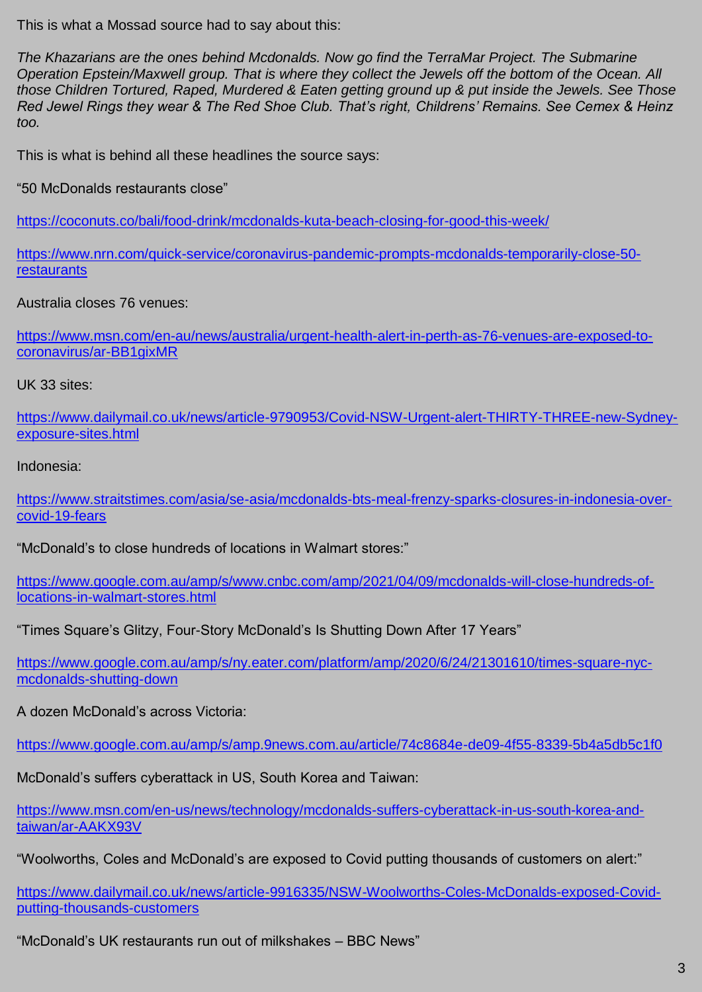This is what a Mossad source had to say about this:

*The Khazarians are the ones behind Mcdonalds. Now go find the TerraMar Project. The Submarine Operation Epstein/Maxwell group. That is where they collect the Jewels off the bottom of the Ocean. All those Children Tortured, Raped, Murdered & Eaten getting ground up & put inside the Jewels. See Those Red Jewel Rings they wear & The Red Shoe Club. That's right, Childrens' Remains. See Cemex & Heinz too.*

This is what is behind all these headlines the source says:

"50 McDonalds restaurants close"

<https://coconuts.co/bali/food-drink/mcdonalds-kuta-beach-closing-for-good-this-week/>

[https://www.nrn.com/quick-service/coronavirus-pandemic-prompts-mcdonalds-temporarily-close-50](https://www.nrn.com/quick-service/coronavirus-pandemic-prompts-mcdonalds-temporarily-close-50-restaurants) [restaurants](https://www.nrn.com/quick-service/coronavirus-pandemic-prompts-mcdonalds-temporarily-close-50-restaurants)

Australia closes 76 venues:

[https://www.msn.com/en-au/news/australia/urgent-health-alert-in-perth-as-76-venues-are-exposed-to](https://www.msn.com/en-au/news/australia/urgent-health-alert-in-perth-as-76-venues-are-exposed-to-coronavirus/ar-BB1gixMR)[coronavirus/ar-BB1gixMR](https://www.msn.com/en-au/news/australia/urgent-health-alert-in-perth-as-76-venues-are-exposed-to-coronavirus/ar-BB1gixMR)

UK 33 sites:

[https://www.dailymail.co.uk/news/article-9790953/Covid-NSW-Urgent-alert-THIRTY-THREE-new-Sydney](https://www.dailymail.co.uk/news/article-9790953/Covid-NSW-Urgent-alert-THIRTY-THREE-new-Sydney-exposure-sites.html)[exposure-sites.html](https://www.dailymail.co.uk/news/article-9790953/Covid-NSW-Urgent-alert-THIRTY-THREE-new-Sydney-exposure-sites.html)

Indonesia:

[https://www.straitstimes.com/asia/se-asia/mcdonalds-bts-meal-frenzy-sparks-closures-in-indonesia-over](https://www.straitstimes.com/asia/se-asia/mcdonalds-bts-meal-frenzy-sparks-closures-in-indonesia-over-covid-19-fears)[covid-19-fears](https://www.straitstimes.com/asia/se-asia/mcdonalds-bts-meal-frenzy-sparks-closures-in-indonesia-over-covid-19-fears)

"McDonald's to close hundreds of locations in Walmart stores:"

[https://www.google.com.au/amp/s/www.cnbc.com/amp/2021/04/09/mcdonalds-will-close-hundreds-of](https://www.google.com.au/amp/s/www.cnbc.com/amp/2021/04/09/mcdonalds-will-close-hundreds-of-locations-in-walmart-stores.html)[locations-in-walmart-stores.html](https://www.google.com.au/amp/s/www.cnbc.com/amp/2021/04/09/mcdonalds-will-close-hundreds-of-locations-in-walmart-stores.html)

"Times Square's Glitzy, Four-Story McDonald's Is Shutting Down After 17 Years"

[https://www.google.com.au/amp/s/ny.eater.com/platform/amp/2020/6/24/21301610/times-square-nyc](https://www.google.com.au/amp/s/ny.eater.com/platform/amp/2020/6/24/21301610/times-square-nyc-mcdonalds-shutting-down)[mcdonalds-shutting-down](https://www.google.com.au/amp/s/ny.eater.com/platform/amp/2020/6/24/21301610/times-square-nyc-mcdonalds-shutting-down)

A dozen McDonald's across Victoria:

<https://www.google.com.au/amp/s/amp.9news.com.au/article/74c8684e-de09-4f55-8339-5b4a5db5c1f0>

McDonald's suffers cyberattack in US, South Korea and Taiwan:

[https://www.msn.com/en-us/news/technology/mcdonalds-suffers-cyberattack-in-us-south-korea-and](https://www.msn.com/en-us/news/technology/mcdonalds-suffers-cyberattack-in-us-south-korea-and-taiwan/ar-AAKX93V)[taiwan/ar-AAKX93V](https://www.msn.com/en-us/news/technology/mcdonalds-suffers-cyberattack-in-us-south-korea-and-taiwan/ar-AAKX93V)

"Woolworths, Coles and McDonald's are exposed to Covid putting thousands of customers on alert:"

[https://www.dailymail.co.uk/news/article-9916335/NSW-Woolworths-Coles-McDonalds-exposed-Covid](https://www.dailymail.co.uk/news/article-9916335/NSW-Woolworths-Coles-McDonalds-exposed-Covid-putting-thousands-customers)[putting-thousands-customers](https://www.dailymail.co.uk/news/article-9916335/NSW-Woolworths-Coles-McDonalds-exposed-Covid-putting-thousands-customers)

"McDonald's UK restaurants run out of milkshakes – BBC News"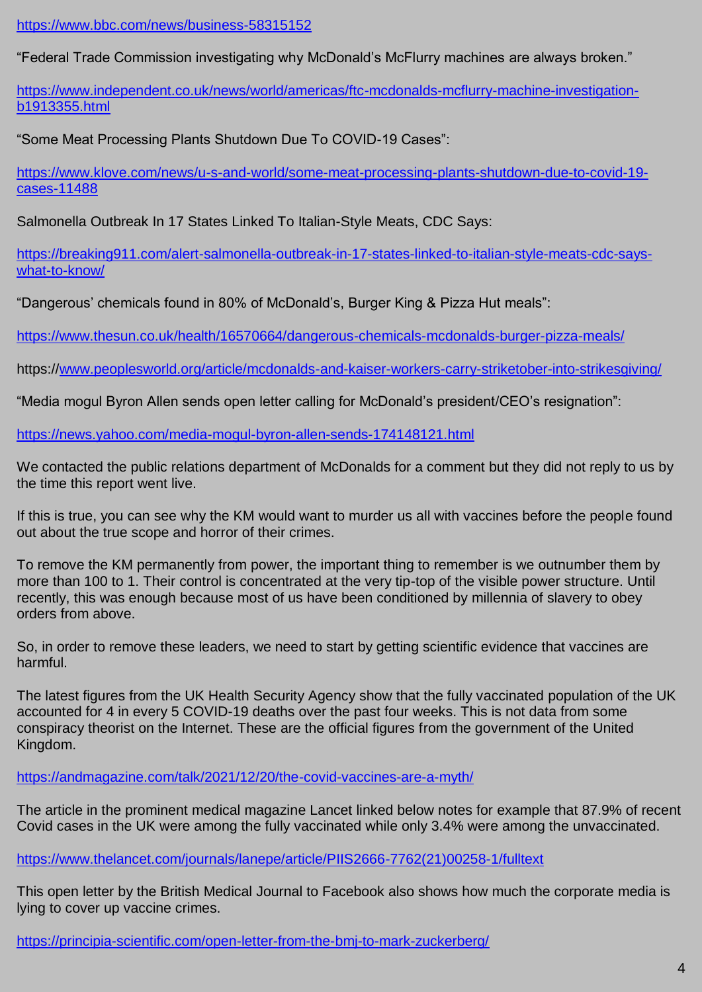<https://www.bbc.com/news/business-58315152>

"Federal Trade Commission investigating why McDonald's McFlurry machines are always broken."

[https://www.independent.co.uk/news/world/americas/ftc-mcdonalds-mcflurry-machine-investigation](https://www.independent.co.uk/news/world/americas/ftc-mcdonalds-mcflurry-machine-investigation-b1913355.html)[b1913355.html](https://www.independent.co.uk/news/world/americas/ftc-mcdonalds-mcflurry-machine-investigation-b1913355.html)

"Some Meat Processing Plants Shutdown Due To COVID-19 Cases":

[https://www.klove.com/news/u-s-and-world/some-meat-processing-plants-shutdown-due-to-covid-19](https://www.klove.com/news/u-s-and-world/some-meat-processing-plants-shutdown-due-to-covid-19-cases-11488) [cases-11488](https://www.klove.com/news/u-s-and-world/some-meat-processing-plants-shutdown-due-to-covid-19-cases-11488)

Salmonella Outbreak In 17 States Linked To Italian-Style Meats, CDC Says:

[https://breaking911.com/alert-salmonella-outbreak-in-17-states-linked-to-italian-style-meats-cdc-says](https://breaking911.com/alert-salmonella-outbreak-in-17-states-linked-to-italian-style-meats-cdc-says-what-to-know/)[what-to-know/](https://breaking911.com/alert-salmonella-outbreak-in-17-states-linked-to-italian-style-meats-cdc-says-what-to-know/)

"Dangerous' chemicals found in 80% of McDonald's, Burger King & Pizza Hut meals":

<https://www.thesun.co.uk/health/16570664/dangerous-chemicals-mcdonalds-burger-pizza-meals/>

https:/[/www.peoplesworld.org/article/mcdonalds-and-kaiser-workers-carry-striketober-into-strikesgiving/](http://www.peoplesworld.org/article/mcdonalds-and-kaiser-workers-carry-striketober-into-strikesgiving/)

"Media mogul Byron Allen sends open letter calling for McDonald's president/CEO's resignation":

<https://news.yahoo.com/media-mogul-byron-allen-sends-174148121.html>

We contacted the public relations department of McDonalds for a comment but they did not reply to us by the time this report went live.

If this is true, you can see why the KM would want to murder us all with vaccines before the people found out about the true scope and horror of their crimes.

To remove the KM permanently from power, the important thing to remember is we outnumber them by more than 100 to 1. Their control is concentrated at the very tip-top of the visible power structure. Until recently, this was enough because most of us have been conditioned by millennia of slavery to obey orders from above.

So, in order to remove these leaders, we need to start by getting scientific evidence that vaccines are harmful.

The latest figures from the UK Health Security Agency show that the fully vaccinated population of the UK accounted for 4 in every 5 COVID-19 deaths over the past four weeks. This is not data from some conspiracy theorist on the Internet. These are the official figures from the government of the United Kingdom.

<https://andmagazine.com/talk/2021/12/20/the-covid-vaccines-are-a-myth/>

The article in the prominent medical magazine Lancet linked below notes for example that 87.9% of recent Covid cases in the UK were among the fully vaccinated while only 3.4% were among the unvaccinated.

[https://www.thelancet.com/journals/lanepe/article/PIIS2666-7762\(21\)00258-1/fulltext](https://www.thelancet.com/journals/lanepe/article/PIIS2666-7762(21)00258-1/fulltext)

This open letter by the British Medical Journal to Facebook also shows how much the corporate media is lying to cover up vaccine crimes.

<https://principia-scientific.com/open-letter-from-the-bmj-to-mark-zuckerberg/>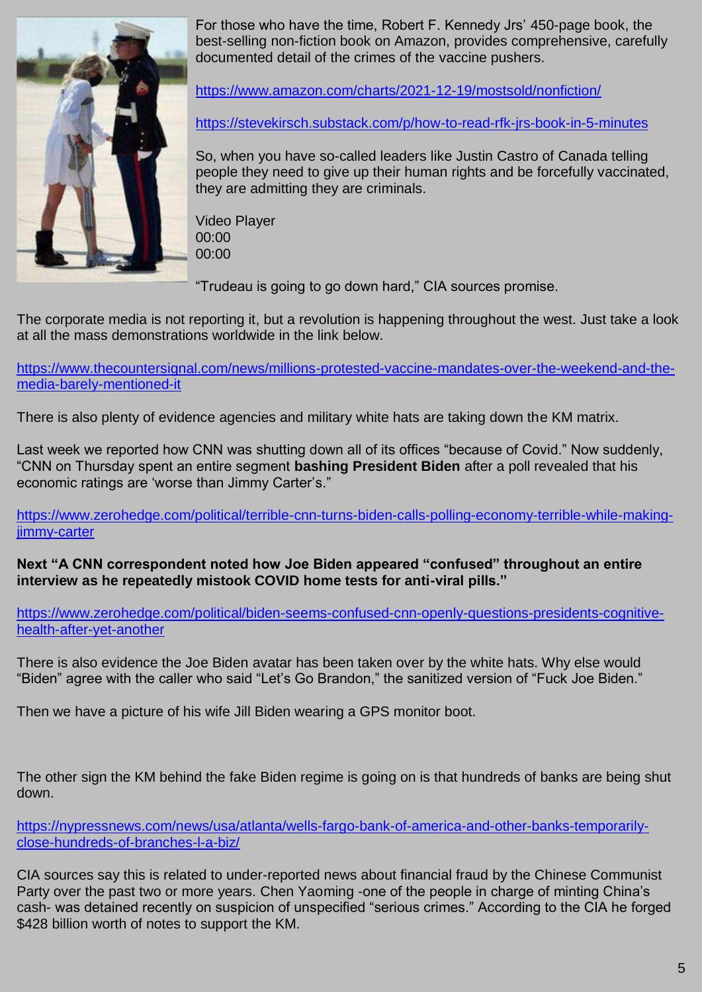

For those who have the time, Robert F. Kennedy Jrs' 450-page book, the best-selling non-fiction book on Amazon, provides comprehensive, carefully documented detail of the crimes of the vaccine pushers.

<https://www.amazon.com/charts/2021-12-19/mostsold/nonfiction/>

<https://stevekirsch.substack.com/p/how-to-read-rfk-jrs-book-in-5-minutes>

So, when you have so-called leaders like Justin Castro of Canada telling people they need to give up their human rights and be forcefully vaccinated, they are admitting they are criminals.

Video Player 00:00 00:00

"Trudeau is going to go down hard," CIA sources promise.

The corporate media is not reporting it, but a revolution is happening throughout the west. Just take a look at all the mass demonstrations worldwide in the link below.

[https://www.thecountersignal.com/news/millions-protested-vaccine-mandates-over-the-weekend-and-the](https://www.thecountersignal.com/news/millions-protested-vaccine-mandates-over-the-weekend-and-the-media-barely-mentioned-it)[media-barely-mentioned-it](https://www.thecountersignal.com/news/millions-protested-vaccine-mandates-over-the-weekend-and-the-media-barely-mentioned-it)

There is also plenty of evidence agencies and military white hats are taking down the KM matrix.

Last week we reported how CNN was shutting down all of its offices "because of Covid." Now suddenly, "CNN on Thursday spent an entire segment **bashing President Biden** after a poll revealed that his economic ratings are 'worse than Jimmy Carter's."

[https://www.zerohedge.com/political/terrible-cnn-turns-biden-calls-polling-economy-terrible-while-making](https://www.zerohedge.com/political/terrible-cnn-turns-biden-calls-polling-economy-terrible-while-making-jimmy-carter)[jimmy-carter](https://www.zerohedge.com/political/terrible-cnn-turns-biden-calls-polling-economy-terrible-while-making-jimmy-carter)

**Next "A CNN correspondent noted how Joe Biden appeared "confused" throughout an entire interview as he repeatedly mistook COVID home tests for anti-viral pills."**

[https://www.zerohedge.com/political/biden-seems-confused-cnn-openly-questions-presidents-cognitive](https://www.zerohedge.com/political/biden-seems-confused-cnn-openly-questions-presidents-cognitive-health-after-yet-another)[health-after-yet-another](https://www.zerohedge.com/political/biden-seems-confused-cnn-openly-questions-presidents-cognitive-health-after-yet-another)

There is also evidence the Joe Biden avatar has been taken over by the white hats. Why else would "Biden" agree with the caller who said "Let's Go Brandon," the sanitized version of "Fuck Joe Biden."

Then we have a picture of his wife Jill Biden wearing a GPS monitor boot.

The other sign the KM behind the fake Biden regime is going on is that hundreds of banks are being shut down.

[https://nypressnews.com/news/usa/atlanta/wells-fargo-bank-of-america-and-other-banks-temporarily](https://nypressnews.com/news/usa/atlanta/wells-fargo-bank-of-america-and-other-banks-temporarily-close-hundreds-of-branches-l-a-biz/)[close-hundreds-of-branches-l-a-biz/](https://nypressnews.com/news/usa/atlanta/wells-fargo-bank-of-america-and-other-banks-temporarily-close-hundreds-of-branches-l-a-biz/)

CIA sources say this is related to under-reported news about financial fraud by the Chinese Communist Party over the past two or more years. Chen Yaoming -one of the people in charge of minting China's cash- was detained recently on suspicion of unspecified "serious crimes." According to the CIA he forged \$428 billion worth of notes to support the KM.